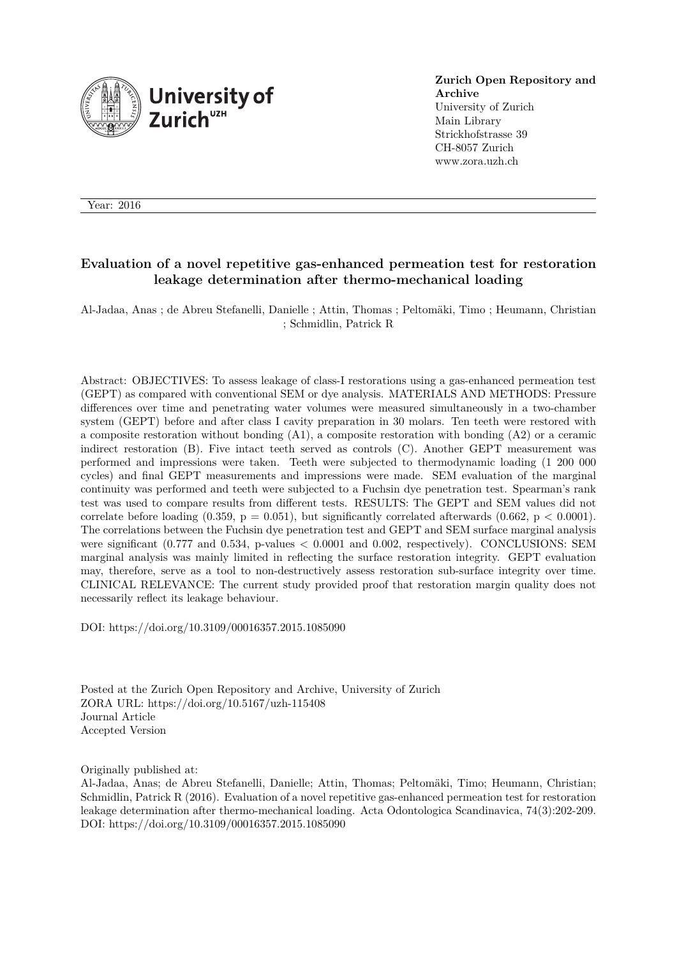

**Zurich Open Repository and Archive** University of Zurich Main Library Strickhofstrasse 39 CH-8057 Zurich www.zora.uzh.ch

Year: 2016

# **Evaluation of a novel repetitive gas-enhanced permeation test for restoration leakage determination after thermo-mechanical loading**

Al-Jadaa, Anas ; de Abreu Stefanelli, Danielle ; Attin, Thomas ; Peltomäki, Timo ; Heumann, Christian ; Schmidlin, Patrick R

Abstract: OBJECTIVES: To assess leakage of class-I restorations using a gas-enhanced permeation test (GEPT) as compared with conventional SEM or dye analysis. MATERIALS AND METHODS: Pressure differences over time and penetrating water volumes were measured simultaneously in a two-chamber system (GEPT) before and after class I cavity preparation in 30 molars. Ten teeth were restored with a composite restoration without bonding (A1), a composite restoration with bonding (A2) or a ceramic indirect restoration (B). Five intact teeth served as controls (C). Another GEPT measurement was performed and impressions were taken. Teeth were subjected to thermodynamic loading (1 200 000 cycles) and final GEPT measurements and impressions were made. SEM evaluation of the marginal continuity was performed and teeth were subjected to a Fuchsin dye penetration test. Spearman's rank test was used to compare results from different tests. RESULTS: The GEPT and SEM values did not correlate before loading  $(0.359, p = 0.051)$ , but significantly correlated afterwards  $(0.662, p < 0.0001)$ . The correlations between the Fuchsin dye penetration test and GEPT and SEM surface marginal analysis were significant  $(0.777 \text{ and } 0.534, \text{ p-values} < 0.0001 \text{ and } 0.002, \text{ respectively})$ . CONCLUSIONS: SEM marginal analysis was mainly limited in reflecting the surface restoration integrity. GEPT evaluation may, therefore, serve as a tool to non-destructively assess restoration sub-surface integrity over time. CLINICAL RELEVANCE: The current study provided proof that restoration margin quality does not necessarily reflect its leakage behaviour.

DOI: https://doi.org/10.3109/00016357.2015.1085090

Posted at the Zurich Open Repository and Archive, University of Zurich ZORA URL: https://doi.org/10.5167/uzh-115408 Journal Article Accepted Version

Originally published at:

Al-Jadaa, Anas; de Abreu Stefanelli, Danielle; Attin, Thomas; Peltomäki, Timo; Heumann, Christian; Schmidlin, Patrick R (2016). Evaluation of a novel repetitive gas-enhanced permeation test for restoration leakage determination after thermo-mechanical loading. Acta Odontologica Scandinavica, 74(3):202-209. DOI: https://doi.org/10.3109/00016357.2015.1085090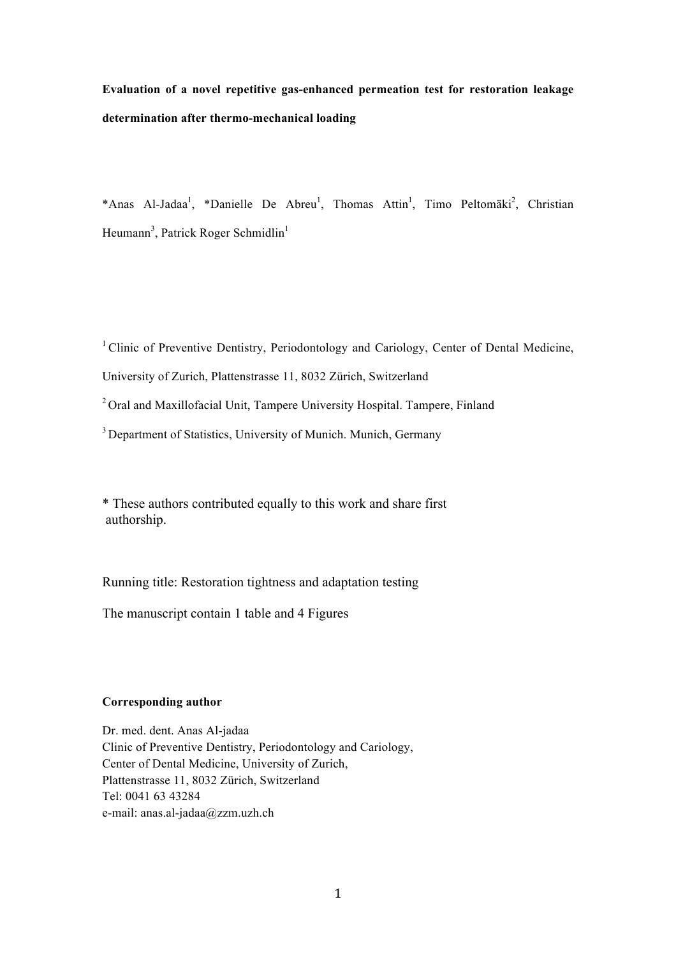**Evaluation of a novel repetitive gas-enhanced permeation test for restoration leakage determination after thermo-mechanical loading**

\*Anas Al-Jadaa<sup>1</sup>, \*Danielle De Abreu<sup>1</sup>, Thomas Attin<sup>1</sup>, Timo Peltomäki<sup>2</sup>, Christian Heumann<sup>3</sup>, Patrick Roger Schmidlin<sup>1</sup>

<sup>1</sup> Clinic of Preventive Dentistry, Periodontology and Cariology, Center of Dental Medicine,

University of Zurich, Plattenstrasse 11, 8032 Zürich, Switzerland

 $2$ Oral and Maxillofacial Unit, Tampere University Hospital, Tampere, Finland

<sup>3</sup> Department of Statistics, University of Munich, Munich, Germany

\* These authors contributed equally to this work and share first authorship.

Running title: Restoration tightness and adaptation testing

The manuscript contain 1 table and 4 Figures

## **Corresponding author**

Dr. med. dent. Anas Al-jadaa Clinic of Preventive Dentistry, Periodontology and Cariology, Center of Dental Medicine, University of Zurich, Plattenstrasse 11, 8032 Zürich, Switzerland Tel: 0041 63 43284 e-mail: anas.al-jadaa@zzm.uzh.ch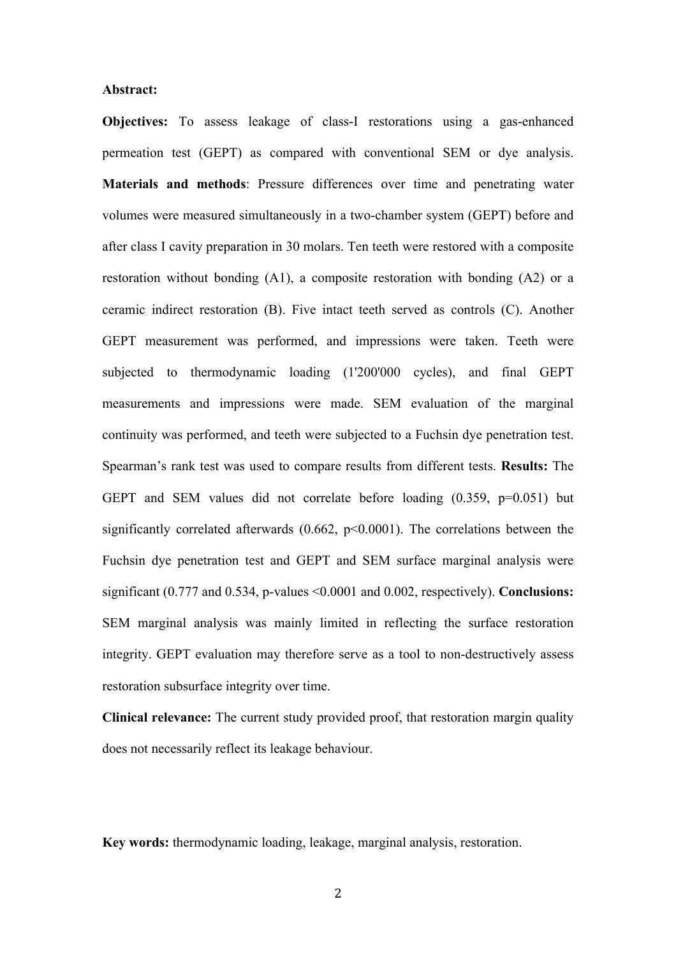#### **Abstract:**

**Objectives:** To assess leakage of class-I restorations using a gas-enhanced permeation test (GEPT) as compared with conventional SEM or dye analysis. **Materials and methods**: Pressure differences over time and penetrating water volumes were measured simultaneously in a two-chamber system (GEPT) before and after class I cavity preparation in 30 molars. Ten teeth were restored with a composite restoration without bonding  $(A1)$ , a composite restoration with bonding  $(A2)$  or a ceramic indirect restoration (B). Five intact teeth served as controls (C). Another GEPT measurement was performed, and impressions were taken. Teeth were subjected to thermodynamic loading (1'200'000 cycles), and final GEPT measurements and impressions were made. SEM evaluation of the marginal continuity was performed, and teeth were subjected to a Fuchsin dye penetration test. Spearman's rank test was used to compare results from different tests. **Results:** The GEPT and SEM values did not correlate before loading (0.359, p=0.051) but significantly correlated afterwards  $(0.662, p<0.0001)$ . The correlations between the Fuchsin dye penetration test and GEPT and SEM surface marginal analysis were significant (0.777 and 0.534, p-values <0.0001 and 0.002, respectively). **Conclusions:** SEM marginal analysis was mainly limited in reflecting the surface restoration integrity. GEPT evaluation may therefore serve as a tool to non-destructively assess restoration subsurface integrity over time.

**Clinical relevance:** The current study provided proof, that restoration margin quality does not necessarily reflect its leakage behaviour.

**Key words:** thermodynamic loading, leakage, marginal analysis, restoration.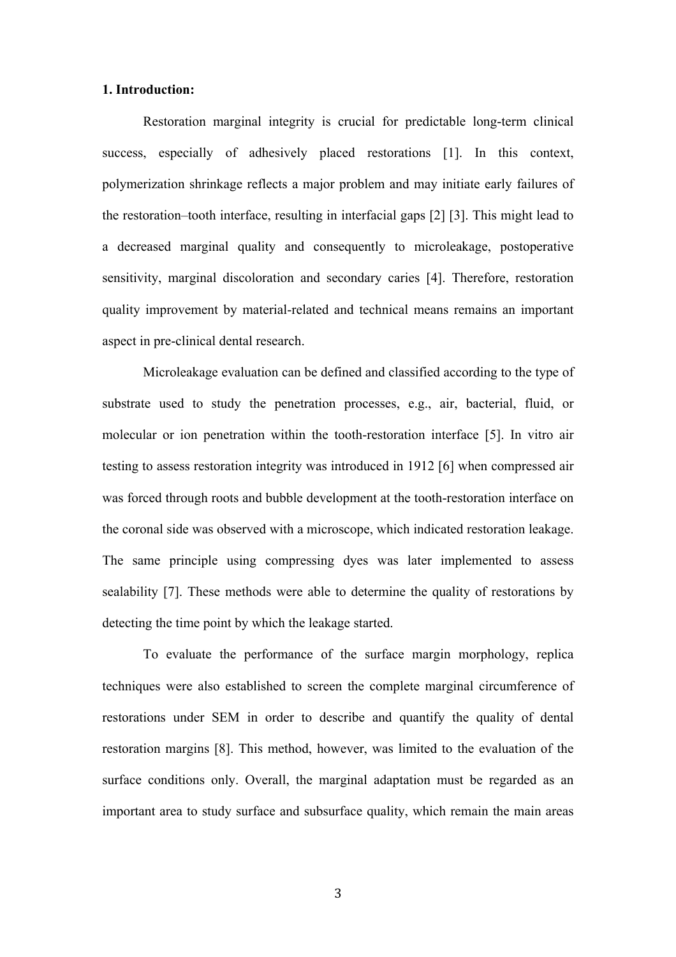## **1. Introduction:**

Restoration marginal integrity is crucial for predictable long-term clinical success, especially of adhesively placed restorations [1]. In this context, polymerization shrinkage reflects a major problem and may initiate early failures of the restoration–tooth interface, resulting in interfacial gaps [2] [3]. This might lead to a decreased marginal quality and consequently to microleakage, postoperative sensitivity, marginal discoloration and secondary caries [4]. Therefore, restoration quality improvement by material-related and technical means remains an important aspect in pre-clinical dental research.

Microleakage evaluation can be defined and classified according to the type of substrate used to study the penetration processes, e.g., air, bacterial, fluid, or molecular or ion penetration within the tooth-restoration interface [5]. In vitro air testing to assess restoration integrity was introduced in 1912 [6] when compressed air was forced through roots and bubble development at the tooth-restoration interface on the coronal side was observed with a microscope, which indicated restoration leakage. The same principle using compressing dyes was later implemented to assess sealability [7]. These methods were able to determine the quality of restorations by detecting the time point by which the leakage started.

To evaluate the performance of the surface margin morphology, replica techniques were also established to screen the complete marginal circumference of restorations under SEM in order to describe and quantify the quality of dental restoration margins [8]. This method, however, was limited to the evaluation of the surface conditions only. Overall, the marginal adaptation must be regarded as an important area to study surface and subsurface quality, which remain the main areas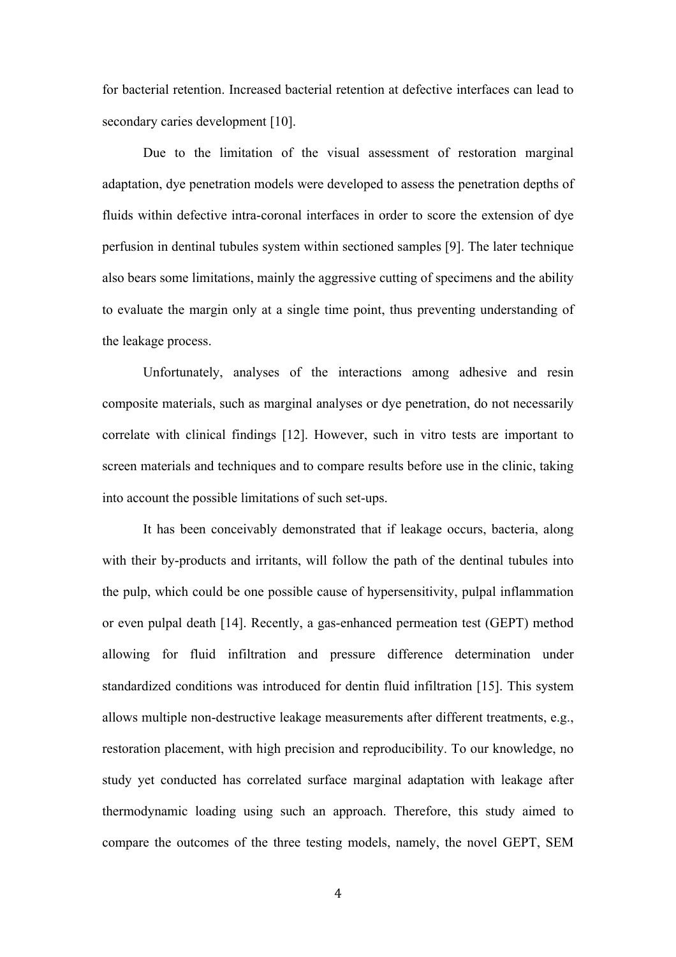for bacterial retention. Increased bacterial retention at defective interfaces can lead to secondary caries development [10].

Due to the limitation of the visual assessment of restoration marginal adaptation, dye penetration models were developed to assess the penetration depths of fluids within defective intra-coronal interfaces in order to score the extension of dye perfusion in dentinal tubules system within sectioned samples [9]. The later technique also bears some limitations, mainly the aggressive cutting of specimens and the ability to evaluate the margin only at a single time point, thus preventing understanding of the leakage process.

Unfortunately, analyses of the interactions among adhesive and resin composite materials, such as marginal analyses or dye penetration, do not necessarily correlate with clinical findings [12]. However, such in vitro tests are important to screen materials and techniques and to compare results before use in the clinic, taking into account the possible limitations of such set-ups.

It has been conceivably demonstrated that if leakage occurs, bacteria, along with their by-products and irritants, will follow the path of the dentinal tubules into the pulp, which could be one possible cause of hypersensitivity, pulpal inflammation or even pulpal death [14]. Recently, a gas-enhanced permeation test (GEPT) method allowing for fluid infiltration and pressure difference determination under standardized conditions was introduced for dentin fluid infiltration [15]. This system allows multiple non-destructive leakage measurements after different treatments, e.g., restoration placement, with high precision and reproducibility. To our knowledge, no study yet conducted has correlated surface marginal adaptation with leakage after thermodynamic loading using such an approach. Therefore, this study aimed to compare the outcomes of the three testing models, namely, the novel GEPT, SEM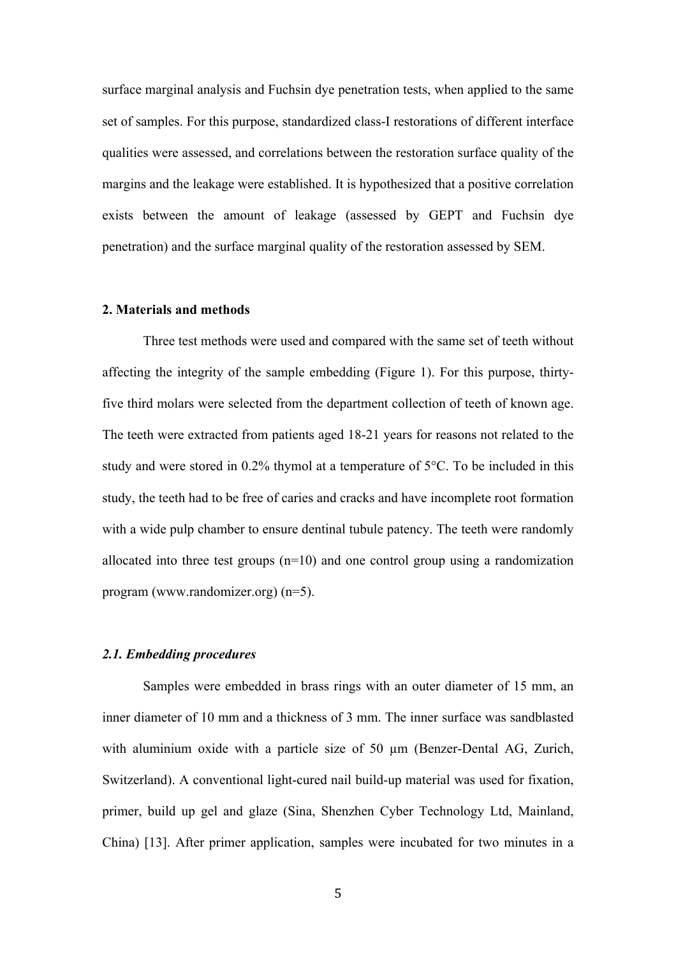surface marginal analysis and Fuchsin dye penetration tests, when applied to the same set of samples. For this purpose, standardized class-I restorations of different interface qualities were assessed, and correlations between the restoration surface quality of the margins and the leakage were established. It is hypothesized that a positive correlation exists between the amount of leakage (assessed by GEPT and Fuchsin dye penetration) and the surface marginal quality of the restoration assessed by SEM.

#### **2. Materials and methods**

Three test methods were used and compared with the same set of teeth without affecting the integrity of the sample embedding (Figure 1). For this purpose, thirtyfive third molars were selected from the department collection of teeth of known age. The teeth were extracted from patients aged 18-21 years for reasons not related to the study and were stored in 0.2% thymol at a temperature of 5°C. To be included in this study, the teeth had to be free of caries and cracks and have incomplete root formation with a wide pulp chamber to ensure dentinal tubule patency. The teeth were randomly allocated into three test groups  $(n=10)$  and one control group using a randomization program (www.randomizer.org) (n=5).

# *2.1. Embedding procedures*

Samples were embedded in brass rings with an outer diameter of 15 mm, an inner diameter of 10 mm and a thickness of 3 mm. The inner surface was sandblasted with aluminium oxide with a particle size of 50  $\mu$ m (Benzer-Dental AG, Zurich, Switzerland). A conventional light-cured nail build-up material was used for fixation, primer, build up gel and glaze (Sina, Shenzhen Cyber Technology Ltd, Mainland, China) [13]. After primer application, samples were incubated for two minutes in a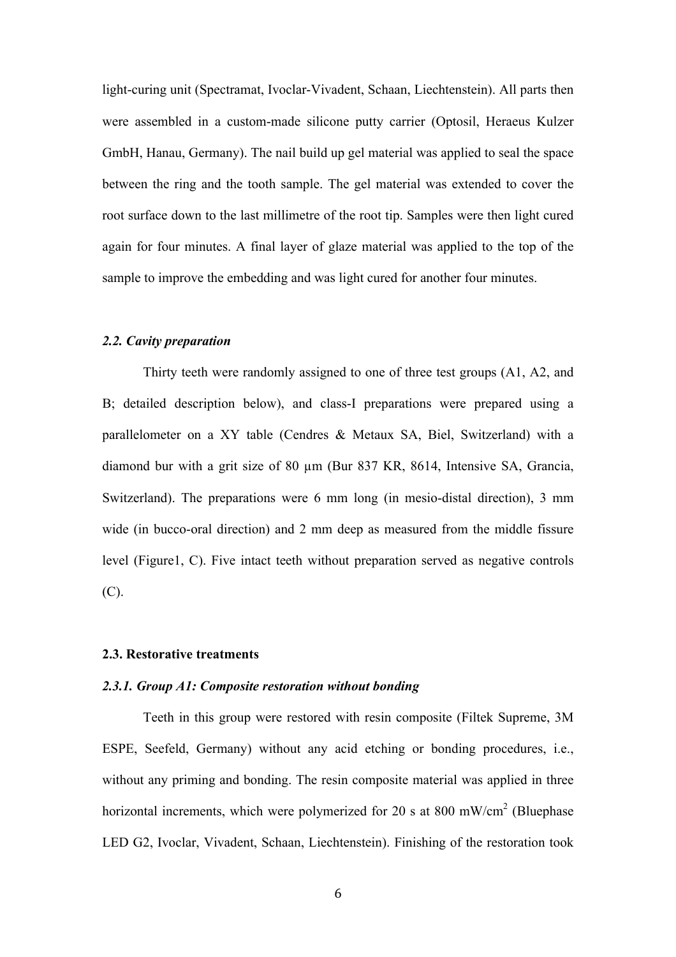light-curing unit (Spectramat, Ivoclar-Vivadent, Schaan, Liechtenstein). All parts then were assembled in a custom-made silicone putty carrier (Optosil, Heraeus Kulzer GmbH, Hanau, Germany). The nail build up gel material was applied to seal the space between the ring and the tooth sample. The gel material was extended to cover the root surface down to the last millimetre of the root tip. Samples were then light cured again for four minutes. A final layer of glaze material was applied to the top of the sample to improve the embedding and was light cured for another four minutes.

## *2.2. Cavity preparation*

Thirty teeth were randomly assigned to one of three test groups (A1, A2, and B; detailed description below), and class-I preparations were prepared using a parallelometer on a XY table (Cendres & Metaux SA, Biel, Switzerland) with a diamond bur with a grit size of 80 µm (Bur 837 KR, 8614, Intensive SA, Grancia, Switzerland). The preparations were 6 mm long (in mesio-distal direction), 3 mm wide (in bucco-oral direction) and 2 mm deep as measured from the middle fissure level (Figure1, C). Five intact teeth without preparation served as negative controls (C).

#### **2.3. Restorative treatments**

#### *2.3.1. Group A1: Composite restoration without bonding*

Teeth in this group were restored with resin composite (Filtek Supreme, 3M ESPE, Seefeld, Germany) without any acid etching or bonding procedures, i.e., without any priming and bonding. The resin composite material was applied in three horizontal increments, which were polymerized for 20 s at 800 mW/cm<sup>2</sup> (Bluephase LED G2, Ivoclar, Vivadent, Schaan, Liechtenstein). Finishing of the restoration took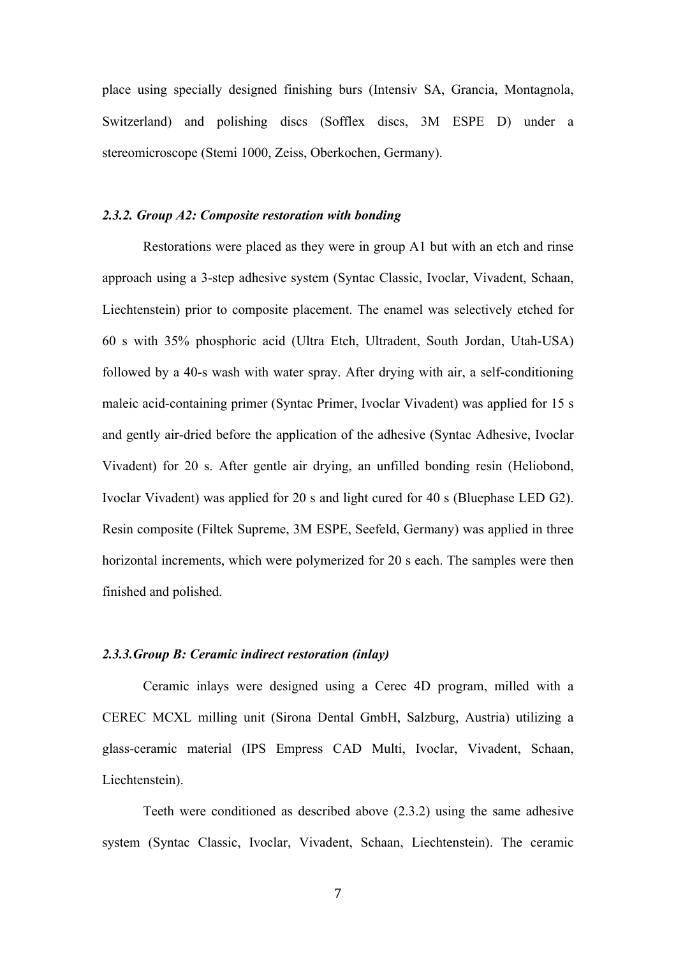place using specially designed finishing burs (Intensiv SA, Grancia, Montagnola, Switzerland) and polishing discs (Sofflex discs, 3M ESPE D) under a stereomicroscope (Stemi 1000, Zeiss, Oberkochen, Germany).

## *2.3.2. Group A2: Composite restoration with bonding*

Restorations were placed as they were in group A1 but with an etch and rinse approach using a 3-step adhesive system (Syntac Classic, Ivoclar, Vivadent, Schaan, Liechtenstein) prior to composite placement. The enamel was selectively etched for 60 s with 35% phosphoric acid (Ultra Etch, Ultradent, South Jordan, Utah-USA) followed by a 40-s wash with water spray. After drying with air, a self-conditioning maleic acid-containing primer (Syntac Primer, Ivoclar Vivadent) was applied for 15 s and gently air-dried before the application of the adhesive (Syntac Adhesive, Ivoclar Vivadent) for 20 s. After gentle air drying, an unfilled bonding resin (Heliobond, Ivoclar Vivadent) was applied for 20 s and light cured for 40 s (Bluephase LED G2). Resin composite (Filtek Supreme, 3M ESPE, Seefeld, Germany) was applied in three horizontal increments, which were polymerized for 20 s each. The samples were then finished and polished.

# *2.3.3.Group B: Ceramic indirect restoration (inlay)*

Ceramic inlays were designed using a Cerec 4D program, milled with a CEREC MCXL milling unit (Sirona Dental GmbH, Salzburg, Austria) utilizing a glass-ceramic material (IPS Empress CAD Multi, Ivoclar, Vivadent, Schaan, Liechtenstein).

Teeth were conditioned as described above (2.3.2) using the same adhesive system (Syntac Classic, Ivoclar, Vivadent, Schaan, Liechtenstein). The ceramic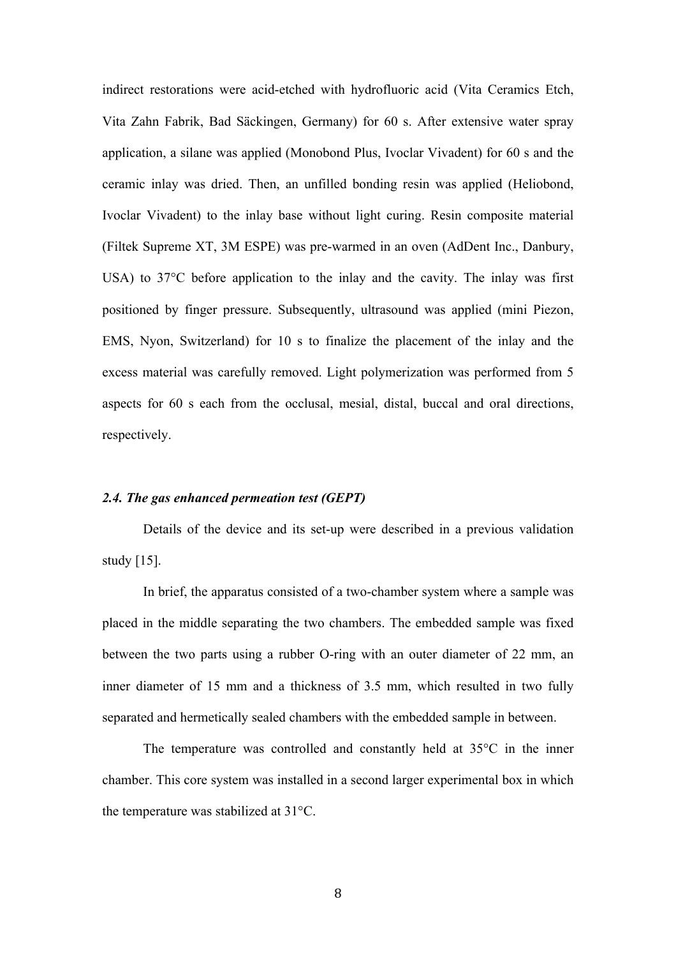indirect restorations were acid-etched with hydrofluoric acid (Vita Ceramics Etch, Vita Zahn Fabrik, Bad Säckingen, Germany) for 60 s. After extensive water spray application, a silane was applied (Monobond Plus, Ivoclar Vivadent) for 60 s and the ceramic inlay was dried. Then, an unfilled bonding resin was applied (Heliobond, Ivoclar Vivadent) to the inlay base without light curing. Resin composite material (Filtek Supreme XT, 3M ESPE) was pre-warmed in an oven (AdDent Inc., Danbury, USA) to 37°C before application to the inlay and the cavity. The inlay was first positioned by finger pressure. Subsequently, ultrasound was applied (mini Piezon, EMS, Nyon, Switzerland) for 10 s to finalize the placement of the inlay and the excess material was carefully removed. Light polymerization was performed from 5 aspects for 60 s each from the occlusal, mesial, distal, buccal and oral directions, respectively.

#### *2.4. The gas enhanced permeation test (GEPT)*

Details of the device and its set-up were described in a previous validation study [15].

In brief, the apparatus consisted of a two-chamber system where a sample was placed in the middle separating the two chambers. The embedded sample was fixed between the two parts using a rubber O-ring with an outer diameter of 22 mm, an inner diameter of 15 mm and a thickness of 3.5 mm, which resulted in two fully separated and hermetically sealed chambers with the embedded sample in between.

The temperature was controlled and constantly held at 35°C in the inner chamber. This core system was installed in a second larger experimental box in which the temperature was stabilized at 31°C.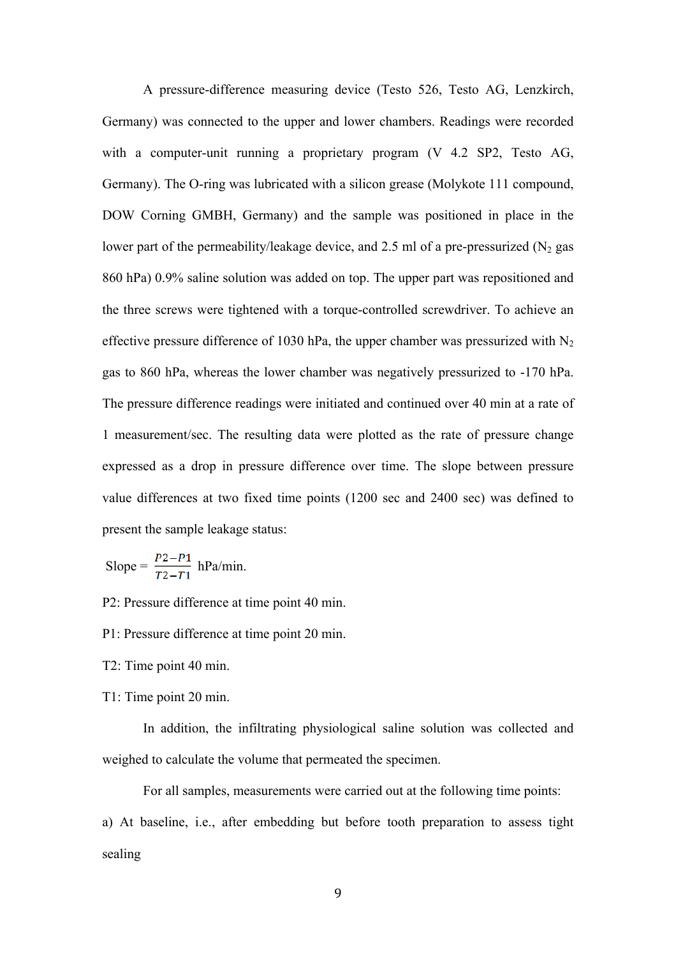A pressure-difference measuring device (Testo 526, Testo AG, Lenzkirch, Germany) was connected to the upper and lower chambers. Readings were recorded with a computer-unit running a proprietary program (V 4.2 SP2, Testo AG, Germany). The O-ring was lubricated with a silicon grease (Molykote 111 compound, DOW Corning GMBH, Germany) and the sample was positioned in place in the lower part of the permeability/leakage device, and 2.5 ml of a pre-pressurized  $(N_2$  gas 860 hPa) 0.9% saline solution was added on top. The upper part was repositioned and the three screws were tightened with a torque-controlled screwdriver. To achieve an effective pressure difference of 1030 hPa, the upper chamber was pressurized with  $N_2$ gas to 860 hPa, whereas the lower chamber was negatively pressurized to -170 hPa. The pressure difference readings were initiated and continued over 40 min at a rate of 1 measurement/sec. The resulting data were plotted as the rate of pressure change expressed as a drop in pressure difference over time. The slope between pressure value differences at two fixed time points (1200 sec and 2400 sec) was defined to present the sample leakage status:

Slope = 
$$
\frac{P2 - P1}{T2 - T1}
$$
 hPa/min.

P2: Pressure difference at time point 40 min.

P1: Pressure difference at time point 20 min.

T2: Time point 40 min.

T1: Time point 20 min.

In addition, the infiltrating physiological saline solution was collected and weighed to calculate the volume that permeated the specimen.

For all samples, measurements were carried out at the following time points:

a) At baseline, i.e., after embedding but before tooth preparation to assess tight sealing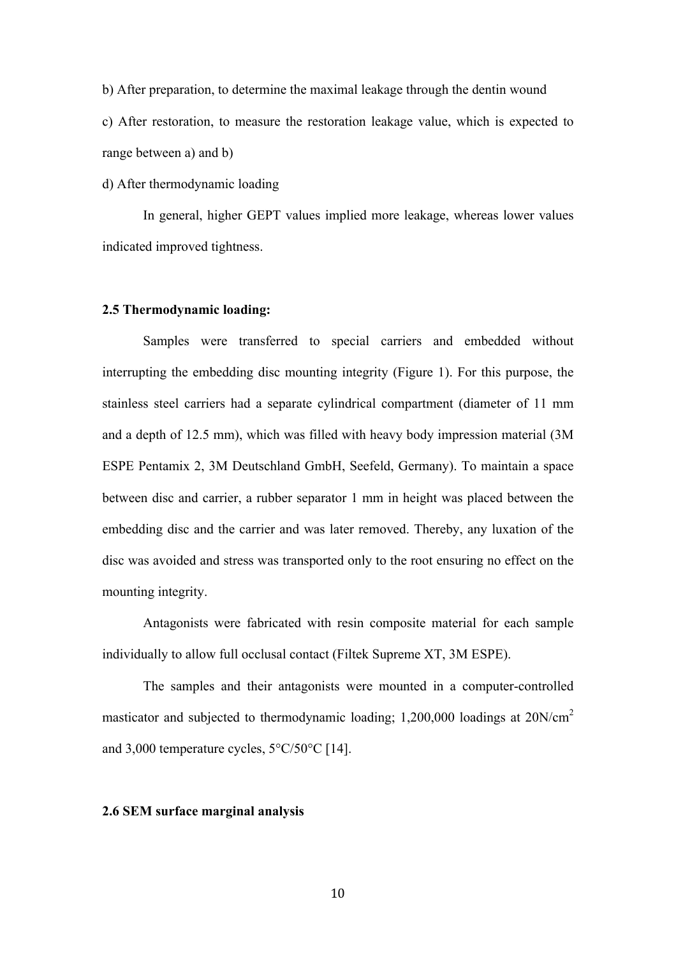b) After preparation, to determine the maximal leakage through the dentin wound

c) After restoration, to measure the restoration leakage value, which is expected to range between a) and b)

d) After thermodynamic loading

In general, higher GEPT values implied more leakage, whereas lower values indicated improved tightness.

#### **2.5 Thermodynamic loading:**

Samples were transferred to special carriers and embedded without interrupting the embedding disc mounting integrity (Figure 1). For this purpose, the stainless steel carriers had a separate cylindrical compartment (diameter of 11 mm and a depth of 12.5 mm), which was filled with heavy body impression material (3M ESPE Pentamix 2, 3M Deutschland GmbH, Seefeld, Germany). To maintain a space between disc and carrier, a rubber separator 1 mm in height was placed between the embedding disc and the carrier and was later removed. Thereby, any luxation of the disc was avoided and stress was transported only to the root ensuring no effect on the mounting integrity.

Antagonists were fabricated with resin composite material for each sample individually to allow full occlusal contact (Filtek Supreme XT, 3M ESPE).

The samples and their antagonists were mounted in a computer-controlled masticator and subjected to thermodynamic loading;  $1,200,000$  loadings at  $20N/cm<sup>2</sup>$ and 3,000 temperature cycles, 5°C/50°C [14].

## **2.6 SEM surface marginal analysis**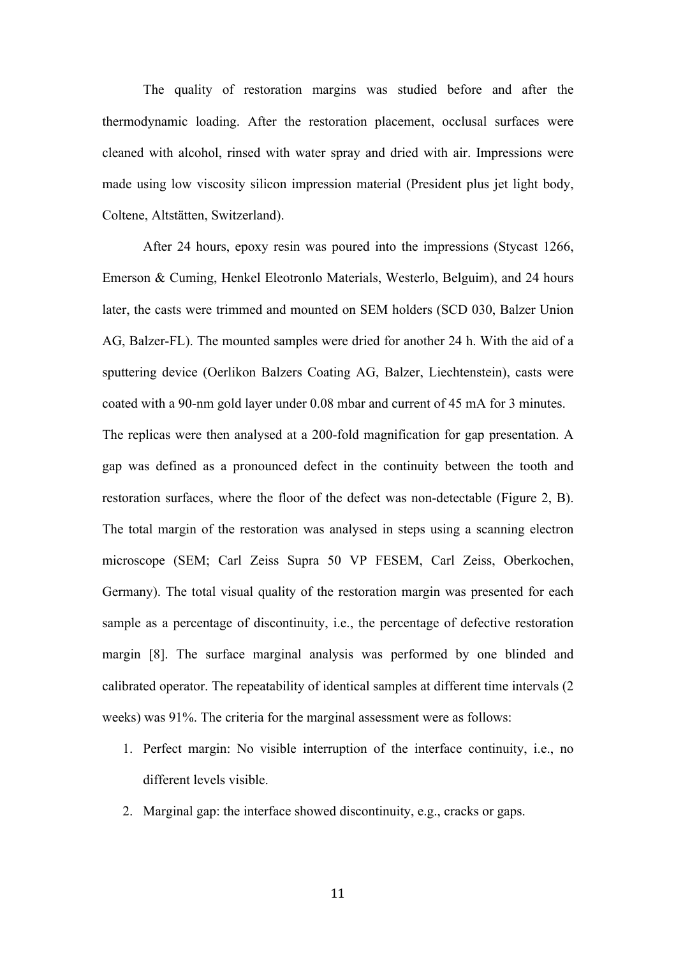The quality of restoration margins was studied before and after the thermodynamic loading. After the restoration placement, occlusal surfaces were cleaned with alcohol, rinsed with water spray and dried with air. Impressions were made using low viscosity silicon impression material (President plus jet light body, Coltene, Altstätten, Switzerland).

After 24 hours, epoxy resin was poured into the impressions (Stycast 1266, Emerson & Cuming, Henkel Eleotronlo Materials, Westerlo, Belguim), and 24 hours later, the casts were trimmed and mounted on SEM holders (SCD 030, Balzer Union AG, Balzer-FL). The mounted samples were dried for another 24 h. With the aid of a sputtering device (Oerlikon Balzers Coating AG, Balzer, Liechtenstein), casts were coated with a 90-nm gold layer under 0.08 mbar and current of 45 mA for 3 minutes. The replicas were then analysed at a 200-fold magnification for gap presentation. A gap was defined as a pronounced defect in the continuity between the tooth and restoration surfaces, where the floor of the defect was non-detectable (Figure 2, B). The total margin of the restoration was analysed in steps using a scanning electron microscope (SEM; Carl Zeiss Supra 50 VP FESEM, Carl Zeiss, Oberkochen, Germany). The total visual quality of the restoration margin was presented for each sample as a percentage of discontinuity, i.e., the percentage of defective restoration margin [8]. The surface marginal analysis was performed by one blinded and calibrated operator. The repeatability of identical samples at different time intervals (2 weeks) was 91%. The criteria for the marginal assessment were as follows:

- 1. Perfect margin: No visible interruption of the interface continuity, i.e., no different levels visible.
- 2. Marginal gap: the interface showed discontinuity, e.g., cracks or gaps.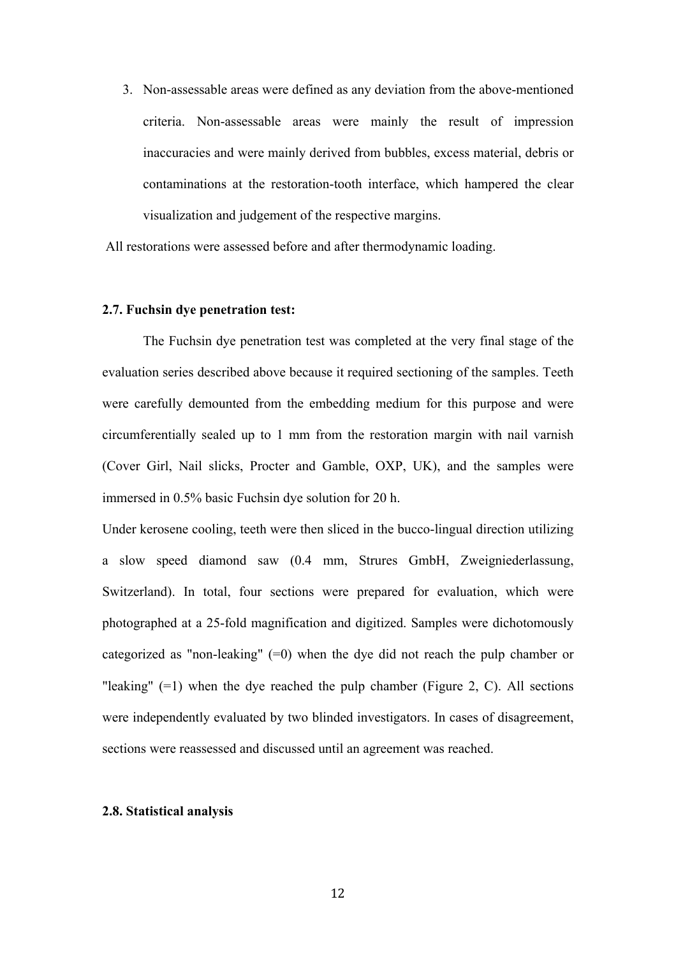3. Non-assessable areas were defined as any deviation from the above-mentioned criteria. Non-assessable areas were mainly the result of impression inaccuracies and were mainly derived from bubbles, excess material, debris or contaminations at the restoration-tooth interface, which hampered the clear visualization and judgement of the respective margins.

All restorations were assessed before and after thermodynamic loading.

#### **2.7. Fuchsin dye penetration test:**

The Fuchsin dye penetration test was completed at the very final stage of the evaluation series described above because it required sectioning of the samples. Teeth were carefully demounted from the embedding medium for this purpose and were circumferentially sealed up to 1 mm from the restoration margin with nail varnish (Cover Girl, Nail slicks, Procter and Gamble, OXP, UK), and the samples were immersed in 0.5% basic Fuchsin dye solution for 20 h.

Under kerosene cooling, teeth were then sliced in the bucco-lingual direction utilizing a slow speed diamond saw (0.4 mm, Strures GmbH, Zweigniederlassung, Switzerland). In total, four sections were prepared for evaluation, which were photographed at a 25-fold magnification and digitized. Samples were dichotomously categorized as "non-leaking" (=0) when the dye did not reach the pulp chamber or "leaking"  $(=1)$  when the dye reached the pulp chamber (Figure 2, C). All sections were independently evaluated by two blinded investigators. In cases of disagreement, sections were reassessed and discussed until an agreement was reached.

## **2.8. Statistical analysis**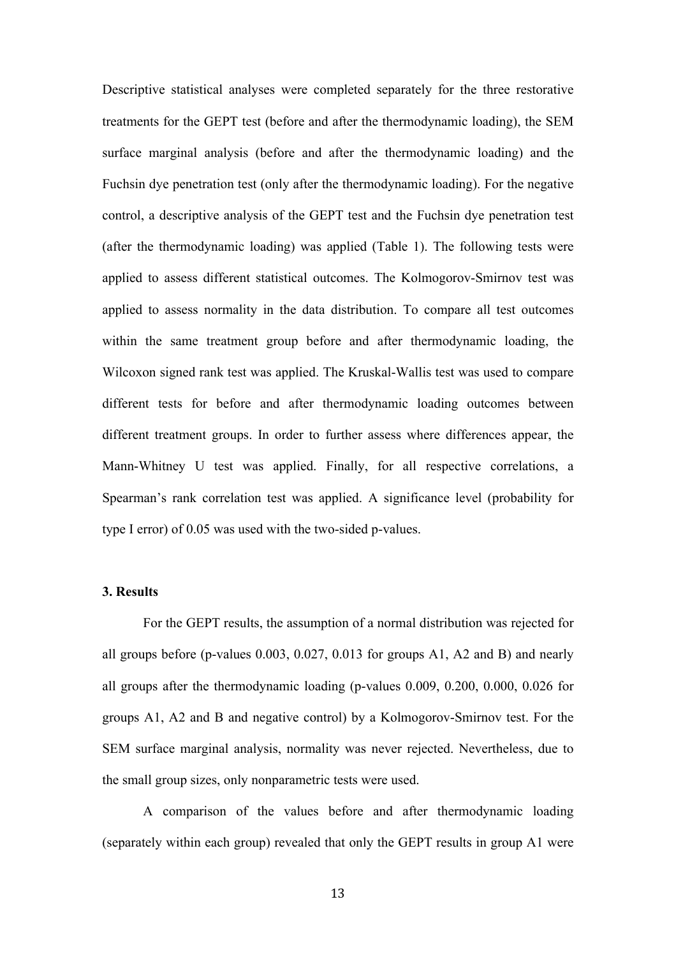Descriptive statistical analyses were completed separately for the three restorative treatments for the GEPT test (before and after the thermodynamic loading), the SEM surface marginal analysis (before and after the thermodynamic loading) and the Fuchsin dye penetration test (only after the thermodynamic loading). For the negative control, a descriptive analysis of the GEPT test and the Fuchsin dye penetration test (after the thermodynamic loading) was applied (Table 1). The following tests were applied to assess different statistical outcomes. The Kolmogorov-Smirnov test was applied to assess normality in the data distribution. To compare all test outcomes within the same treatment group before and after thermodynamic loading, the Wilcoxon signed rank test was applied. The Kruskal-Wallis test was used to compare different tests for before and after thermodynamic loading outcomes between different treatment groups. In order to further assess where differences appear, the Mann-Whitney U test was applied. Finally, for all respective correlations, a Spearman's rank correlation test was applied. A significance level (probability for type I error) of 0.05 was used with the two-sided p-values.

# **3. Results**

For the GEPT results, the assumption of a normal distribution was rejected for all groups before (p-values 0.003, 0.027, 0.013 for groups A1, A2 and B) and nearly all groups after the thermodynamic loading (p-values 0.009, 0.200, 0.000, 0.026 for groups A1, A2 and B and negative control) by a Kolmogorov-Smirnov test. For the SEM surface marginal analysis, normality was never rejected. Nevertheless, due to the small group sizes, only nonparametric tests were used.

A comparison of the values before and after thermodynamic loading (separately within each group) revealed that only the GEPT results in group A1 were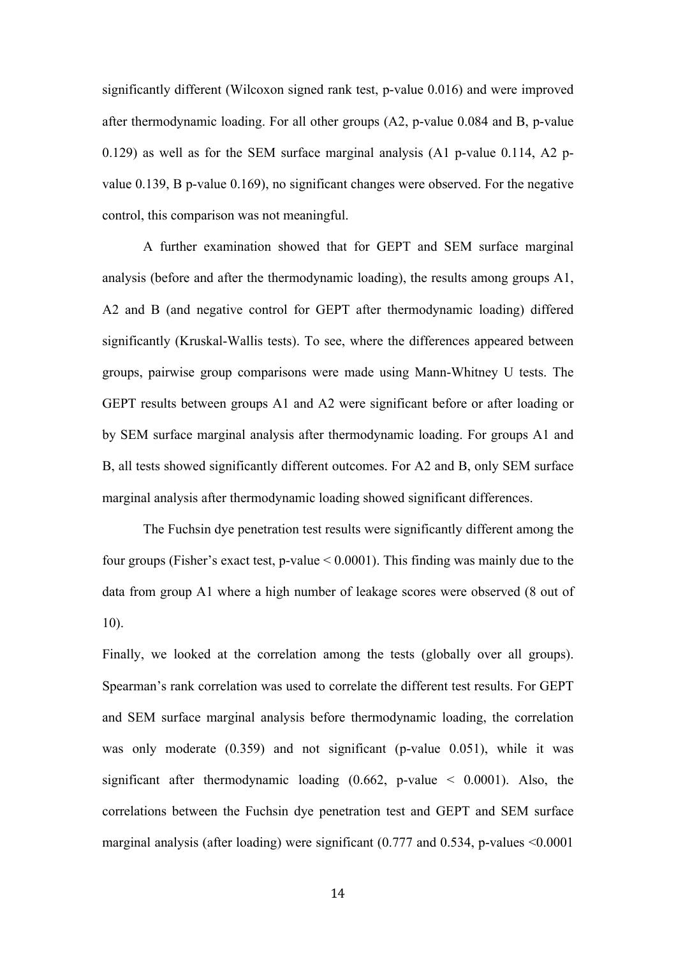significantly different (Wilcoxon signed rank test, p-value 0.016) and were improved after thermodynamic loading. For all other groups (A2, p-value 0.084 and B, p-value 0.129) as well as for the SEM surface marginal analysis (A1 p-value 0.114, A2 pvalue 0.139, B p-value 0.169), no significant changes were observed. For the negative control, this comparison was not meaningful.

A further examination showed that for GEPT and SEM surface marginal analysis (before and after the thermodynamic loading), the results among groups A1, A2 and B (and negative control for GEPT after thermodynamic loading) differed significantly (Kruskal-Wallis tests). To see, where the differences appeared between groups, pairwise group comparisons were made using Mann-Whitney U tests. The GEPT results between groups A1 and A2 were significant before or after loading or by SEM surface marginal analysis after thermodynamic loading. For groups A1 and B, all tests showed significantly different outcomes. For A2 and B, only SEM surface marginal analysis after thermodynamic loading showed significant differences.

The Fuchsin dye penetration test results were significantly different among the four groups (Fisher's exact test, p-value < 0.0001). This finding was mainly due to the data from group A1 where a high number of leakage scores were observed (8 out of 10).

Finally, we looked at the correlation among the tests (globally over all groups). Spearman's rank correlation was used to correlate the different test results. For GEPT and SEM surface marginal analysis before thermodynamic loading, the correlation was only moderate (0.359) and not significant (p-value 0.051), while it was significant after thermodynamic loading  $(0.662, p-value < 0.0001)$ . Also, the correlations between the Fuchsin dye penetration test and GEPT and SEM surface marginal analysis (after loading) were significant (0.777 and 0.534, p-values <0.0001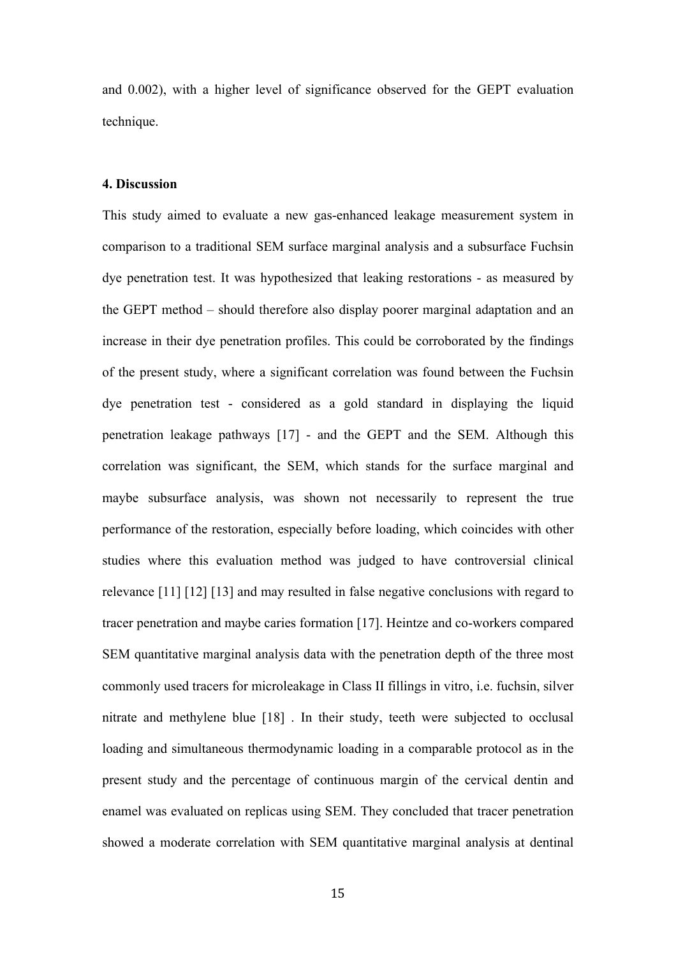and 0.002), with a higher level of significance observed for the GEPT evaluation technique.

# **4. Discussion**

This study aimed to evaluate a new gas-enhanced leakage measurement system in comparison to a traditional SEM surface marginal analysis and a subsurface Fuchsin dye penetration test. It was hypothesized that leaking restorations - as measured by the GEPT method – should therefore also display poorer marginal adaptation and an increase in their dye penetration profiles. This could be corroborated by the findings of the present study, where a significant correlation was found between the Fuchsin dye penetration test - considered as a gold standard in displaying the liquid penetration leakage pathways [17] - and the GEPT and the SEM. Although this correlation was significant, the SEM, which stands for the surface marginal and maybe subsurface analysis, was shown not necessarily to represent the true performance of the restoration, especially before loading, which coincides with other studies where this evaluation method was judged to have controversial clinical relevance [11] [12] [13] and may resulted in false negative conclusions with regard to tracer penetration and maybe caries formation [17]. Heintze and co-workers compared SEM quantitative marginal analysis data with the penetration depth of the three most commonly used tracers for microleakage in Class II fillings in vitro, i.e. fuchsin, silver nitrate and methylene blue [18] . In their study, teeth were subjected to occlusal loading and simultaneous thermodynamic loading in a comparable protocol as in the present study and the percentage of continuous margin of the cervical dentin and enamel was evaluated on replicas using SEM. They concluded that tracer penetration showed a moderate correlation with SEM quantitative marginal analysis at dentinal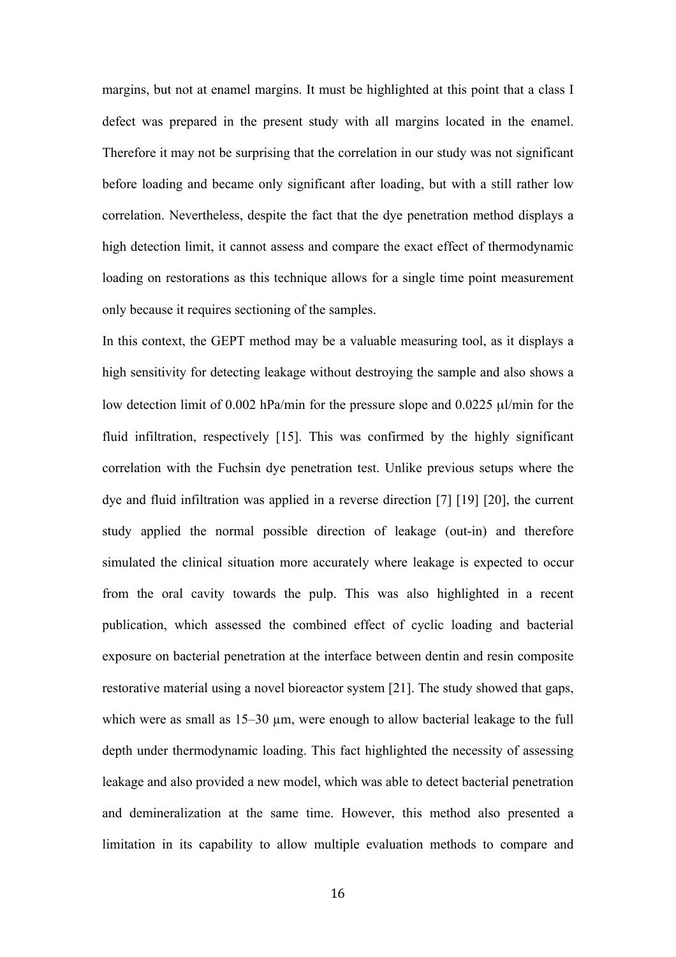margins, but not at enamel margins. It must be highlighted at this point that a class I defect was prepared in the present study with all margins located in the enamel. Therefore it may not be surprising that the correlation in our study was not significant before loading and became only significant after loading, but with a still rather low correlation. Nevertheless, despite the fact that the dye penetration method displays a high detection limit, it cannot assess and compare the exact effect of thermodynamic loading on restorations as this technique allows for a single time point measurement only because it requires sectioning of the samples.

In this context, the GEPT method may be a valuable measuring tool, as it displays a high sensitivity for detecting leakage without destroying the sample and also shows a low detection limit of 0.002 hPa/min for the pressure slope and 0.0225 µl/min for the fluid infiltration, respectively [15]. This was confirmed by the highly significant correlation with the Fuchsin dye penetration test. Unlike previous setups where the dye and fluid infiltration was applied in a reverse direction [7] [19] [20], the current study applied the normal possible direction of leakage (out-in) and therefore simulated the clinical situation more accurately where leakage is expected to occur from the oral cavity towards the pulp. This was also highlighted in a recent publication, which assessed the combined effect of cyclic loading and bacterial exposure on bacterial penetration at the interface between dentin and resin composite restorative material using a novel bioreactor system [21]. The study showed that gaps, which were as small as 15–30  $\mu$ m, were enough to allow bacterial leakage to the full depth under thermodynamic loading. This fact highlighted the necessity of assessing leakage and also provided a new model, which was able to detect bacterial penetration and demineralization at the same time. However, this method also presented a limitation in its capability to allow multiple evaluation methods to compare and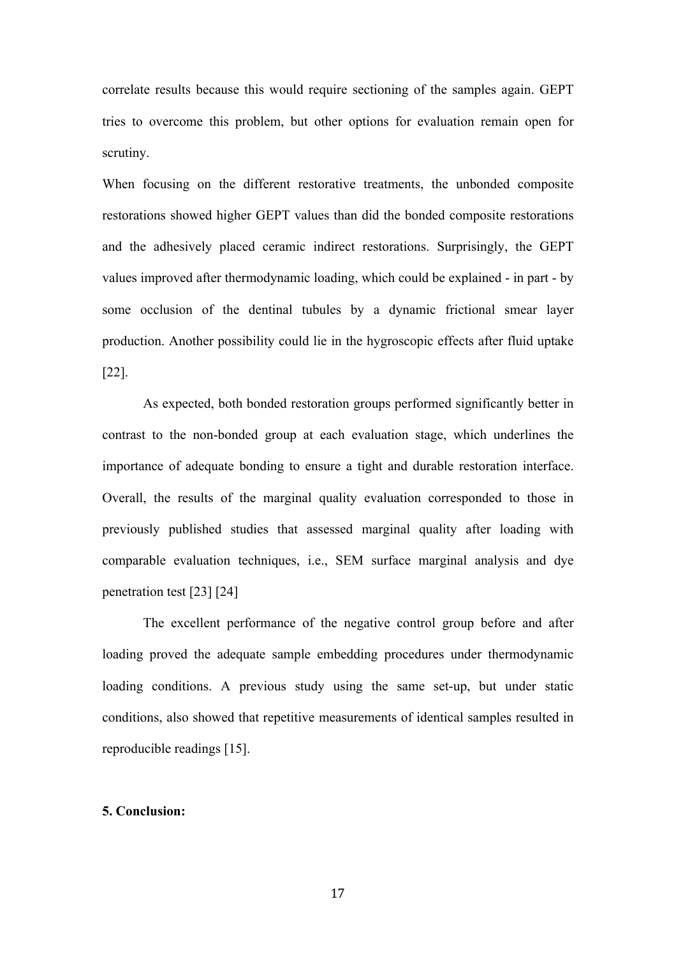correlate results because this would require sectioning of the samples again. GEPT tries to overcome this problem, but other options for evaluation remain open for scrutiny.

When focusing on the different restorative treatments, the unbonded composite restorations showed higher GEPT values than did the bonded composite restorations and the adhesively placed ceramic indirect restorations. Surprisingly, the GEPT values improved after thermodynamic loading, which could be explained - in part - by some occlusion of the dentinal tubules by a dynamic frictional smear layer production. Another possibility could lie in the hygroscopic effects after fluid uptake [22].

As expected, both bonded restoration groups performed significantly better in contrast to the non-bonded group at each evaluation stage, which underlines the importance of adequate bonding to ensure a tight and durable restoration interface. Overall, the results of the marginal quality evaluation corresponded to those in previously published studies that assessed marginal quality after loading with comparable evaluation techniques, i.e., SEM surface marginal analysis and dye penetration test [23] [24]

The excellent performance of the negative control group before and after loading proved the adequate sample embedding procedures under thermodynamic loading conditions. A previous study using the same set-up, but under static conditions, also showed that repetitive measurements of identical samples resulted in reproducible readings [15].

## **5. Conclusion:**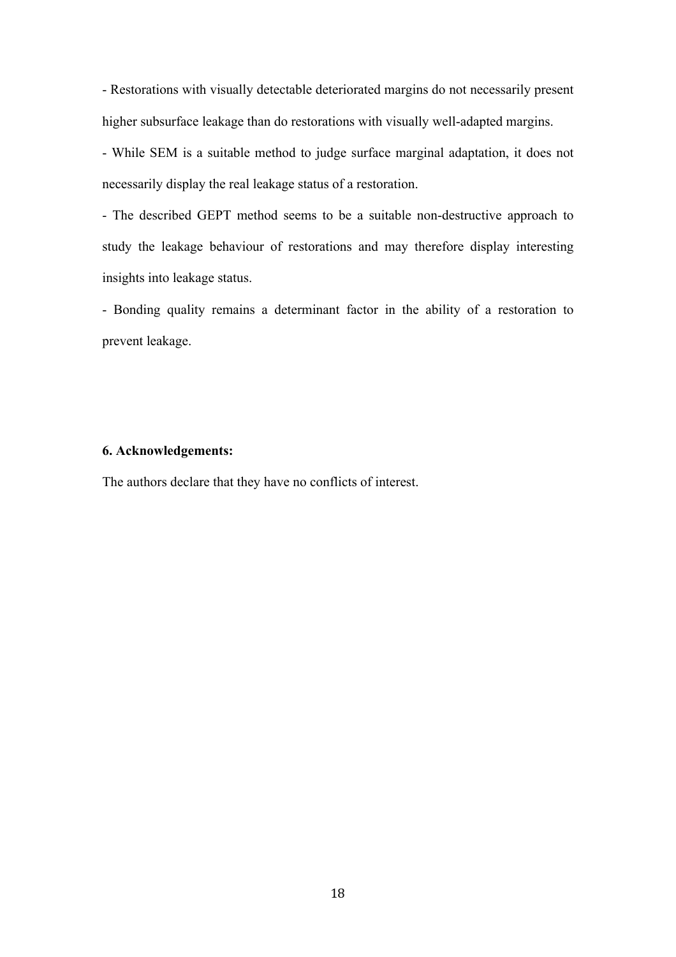- Restorations with visually detectable deteriorated margins do not necessarily present higher subsurface leakage than do restorations with visually well-adapted margins.

- While SEM is a suitable method to judge surface marginal adaptation, it does not necessarily display the real leakage status of a restoration.

- The described GEPT method seems to be a suitable non-destructive approach to study the leakage behaviour of restorations and may therefore display interesting insights into leakage status.

- Bonding quality remains a determinant factor in the ability of a restoration to prevent leakage.

#### **6. Acknowledgements:**

The authors declare that they have no conflicts of interest.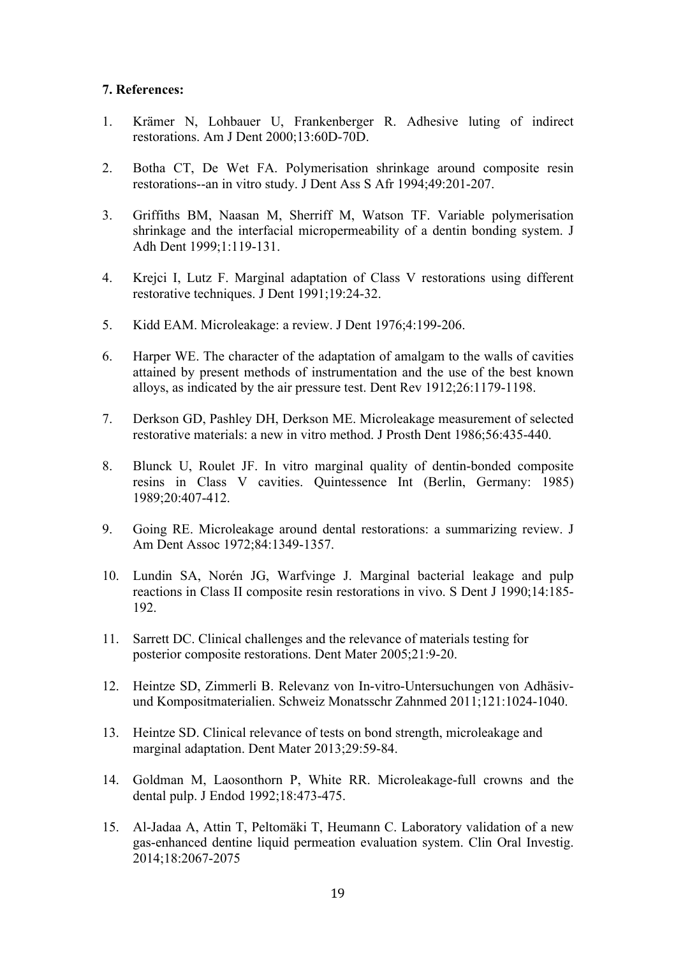# **7. References:**

- 1. Krämer N, Lohbauer U, Frankenberger R. Adhesive luting of indirect restorations. Am J Dent 2000;13:60D-70D.
- 2. Botha CT, De Wet FA. Polymerisation shrinkage around composite resin restorations--an in vitro study. J Dent Ass S Afr 1994;49:201-207.
- 3. Griffiths BM, Naasan M, Sherriff M, Watson TF. Variable polymerisation shrinkage and the interfacial micropermeability of a dentin bonding system. J Adh Dent 1999;1:119-131.
- 4. Krejci I, Lutz F. Marginal adaptation of Class V restorations using different restorative techniques. J Dent 1991;19:24-32.
- 5. Kidd EAM. Microleakage: a review. J Dent 1976;4:199-206.
- 6. Harper WE. The character of the adaptation of amalgam to the walls of cavities attained by present methods of instrumentation and the use of the best known alloys, as indicated by the air pressure test. Dent Rev 1912;26:1179-1198.
- 7. Derkson GD, Pashley DH, Derkson ME. Microleakage measurement of selected restorative materials: a new in vitro method. J Prosth Dent 1986;56:435-440.
- 8. Blunck U, Roulet JF. In vitro marginal quality of dentin-bonded composite resins in Class V cavities. Quintessence Int (Berlin, Germany: 1985) 1989;20:407-412.
- 9. Going RE. Microleakage around dental restorations: a summarizing review. J Am Dent Assoc 1972;84:1349-1357.
- 10. Lundin SA, Norén JG, Warfvinge J. Marginal bacterial leakage and pulp reactions in Class II composite resin restorations in vivo. S Dent J 1990;14:185- 192.
- 11. Sarrett DC. Clinical challenges and the relevance of materials testing for posterior composite restorations. Dent Mater 2005;21:9-20.
- 12. Heintze SD, Zimmerli B. Relevanz von In-vitro-Untersuchungen von Adhäsivund Kompositmaterialien. Schweiz Monatsschr Zahnmed 2011;121:1024-1040.
- 13. Heintze SD. Clinical relevance of tests on bond strength, microleakage and marginal adaptation. Dent Mater 2013;29:59-84.
- 14. Goldman M, Laosonthorn P, White RR. Microleakage-full crowns and the dental pulp. J Endod 1992;18:473-475.
- 15. Al-Jadaa A, Attin T, Peltomäki T, Heumann C. Laboratory validation of a new gas-enhanced dentine liquid permeation evaluation system. Clin Oral Investig. 2014;18:2067-2075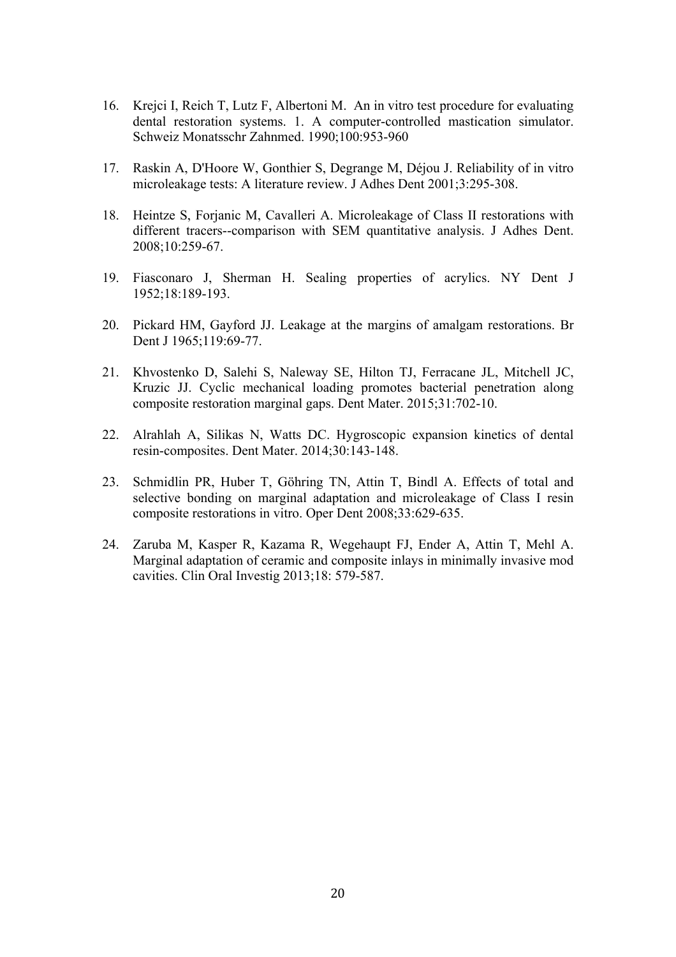- 16. Krejci I, Reich T, Lutz F, Albertoni M. An in vitro test procedure for evaluating dental restoration systems. 1. A computer-controlled mastication simulator. Schweiz Monatsschr Zahnmed. 1990;100:953-960
- 17. Raskin A, D'Hoore W, Gonthier S, Degrange M, Déjou J. Reliability of in vitro microleakage tests: A literature review. J Adhes Dent 2001;3:295-308.
- 18. Heintze S, Forjanic M, Cavalleri A. Microleakage of Class II restorations with different tracers--comparison with SEM quantitative analysis. J Adhes Dent. 2008;10:259-67.
- 19. Fiasconaro J, Sherman H. Sealing properties of acrylics. NY Dent J 1952;18:189-193.
- 20. Pickard HM, Gayford JJ. Leakage at the margins of amalgam restorations. Br Dent J 1965;119:69-77.
- 21. Khvostenko D, Salehi S, Naleway SE, Hilton TJ, Ferracane JL, Mitchell JC, Kruzic JJ. Cyclic mechanical loading promotes bacterial penetration along composite restoration marginal gaps. Dent Mater. 2015;31:702-10.
- 22. Alrahlah A, Silikas N, Watts DC. Hygroscopic expansion kinetics of dental resin-composites. Dent Mater. 2014;30:143-148.
- 23. Schmidlin PR, Huber T, Göhring TN, Attin T, Bindl A. Effects of total and selective bonding on marginal adaptation and microleakage of Class I resin composite restorations in vitro. Oper Dent 2008;33:629-635.
- 24. Zaruba M, Kasper R, Kazama R, Wegehaupt FJ, Ender A, Attin T, Mehl A. Marginal adaptation of ceramic and composite inlays in minimally invasive mod cavities. Clin Oral Investig 2013;18: 579-587.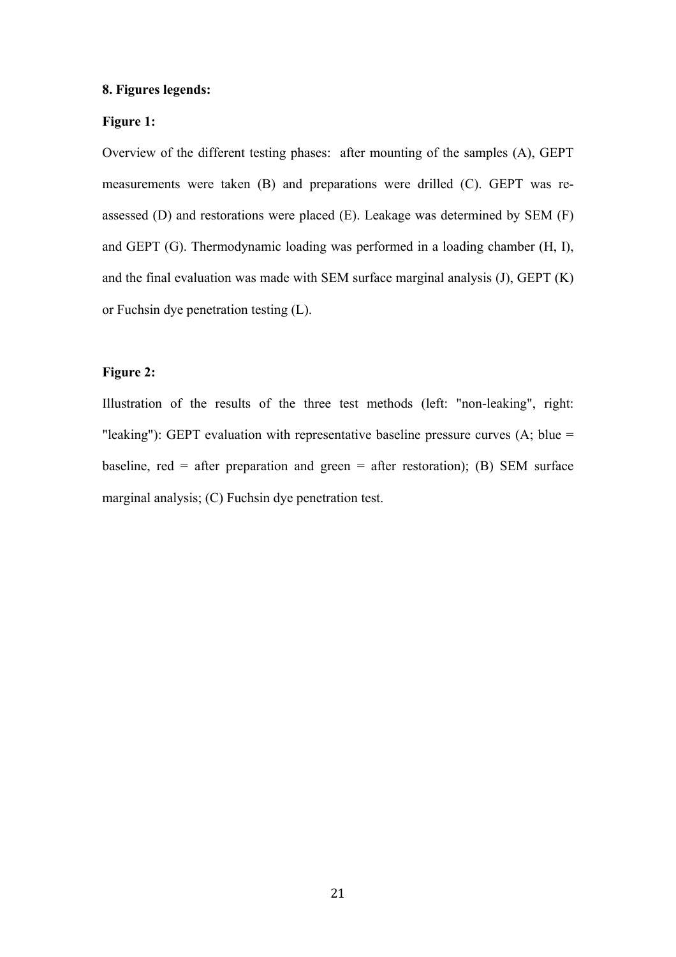# **8. Figures legends:**

# **Figure 1:**

Overview of the different testing phases: after mounting of the samples (A), GEPT measurements were taken (B) and preparations were drilled (C). GEPT was reassessed (D) and restorations were placed (E). Leakage was determined by SEM (F) and GEPT (G). Thermodynamic loading was performed in a loading chamber (H, I), and the final evaluation was made with SEM surface marginal analysis (J), GEPT (K) or Fuchsin dye penetration testing (L).

# **Figure 2:**

Illustration of the results of the three test methods (left: "non-leaking", right: "leaking"): GEPT evaluation with representative baseline pressure curves (A; blue = baseline, red = after preparation and green = after restoration); (B) SEM surface marginal analysis; (C) Fuchsin dye penetration test.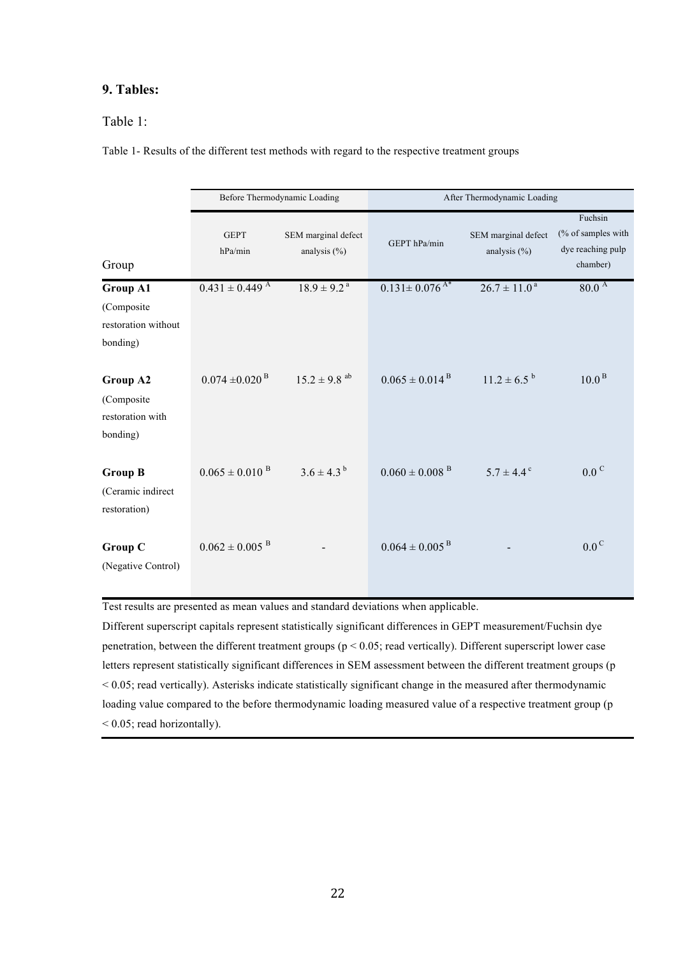# **9. Tables:**

# Table 1:

| Table 1- Results of the different test methods with regard to the respective treatment groups |  |  |
|-----------------------------------------------------------------------------------------------|--|--|
|                                                                                               |  |  |

|                                                                  | Before Thermodynamic Loading   |                                         | After Thermodynamic Loading     |                                        |                                                                |
|------------------------------------------------------------------|--------------------------------|-----------------------------------------|---------------------------------|----------------------------------------|----------------------------------------------------------------|
| Group                                                            | <b>GEPT</b><br>hPa/min         | SEM marginal defect<br>analysis $(\% )$ | GEPT hPa/min                    | SEM marginal defect<br>analysis $(\%)$ | Fuchsin<br>(% of samples with<br>dye reaching pulp<br>chamber) |
| <b>Group A1</b><br>(Composite<br>restoration without<br>bonding) | $0.431 \pm 0.449$ <sup>A</sup> | $18.9 \pm 9.2$ <sup>a</sup>             | $0.131 \pm 0.076$ <sup>A*</sup> | $26.7 \pm 11.0^{\text{a}}$             | 80.0 <sup>A</sup>                                              |
| Group A2<br>(Composite<br>restoration with<br>bonding)           | $0.074 \pm 0.020$ <sup>B</sup> | $15.2 \pm 9.8$ <sup>ab</sup>            | $0.065 \pm 0.014^{\text{B}}$    | $11.2 \pm 6.5^{b}$                     | 10.0 <sup>B</sup>                                              |
| <b>Group B</b><br>(Ceramic indirect<br>restoration)              | $0.065 \pm 0.010$ <sup>B</sup> | $3.6 \pm 4.3^{b}$                       | $0.060 \pm 0.008$ <sup>B</sup>  | $5.7 \pm 4.4$ <sup>c</sup>             | $0.0^\text{C}$                                                 |
| <b>Group C</b><br>(Negative Control)                             | $0.062 \pm 0.005$ <sup>B</sup> |                                         | $0.064 \pm 0.005$ <sup>B</sup>  |                                        | $0.0^{\circ}$                                                  |

Test results are presented as mean values and standard deviations when applicable.

Different superscript capitals represent statistically significant differences in GEPT measurement/Fuchsin dye penetration, between the different treatment groups (p < 0.05; read vertically). Different superscript lower case letters represent statistically significant differences in SEM assessment between the different treatment groups (p < 0.05; read vertically). Asterisks indicate statistically significant change in the measured after thermodynamic loading value compared to the before thermodynamic loading measured value of a respective treatment group (p < 0.05; read horizontally).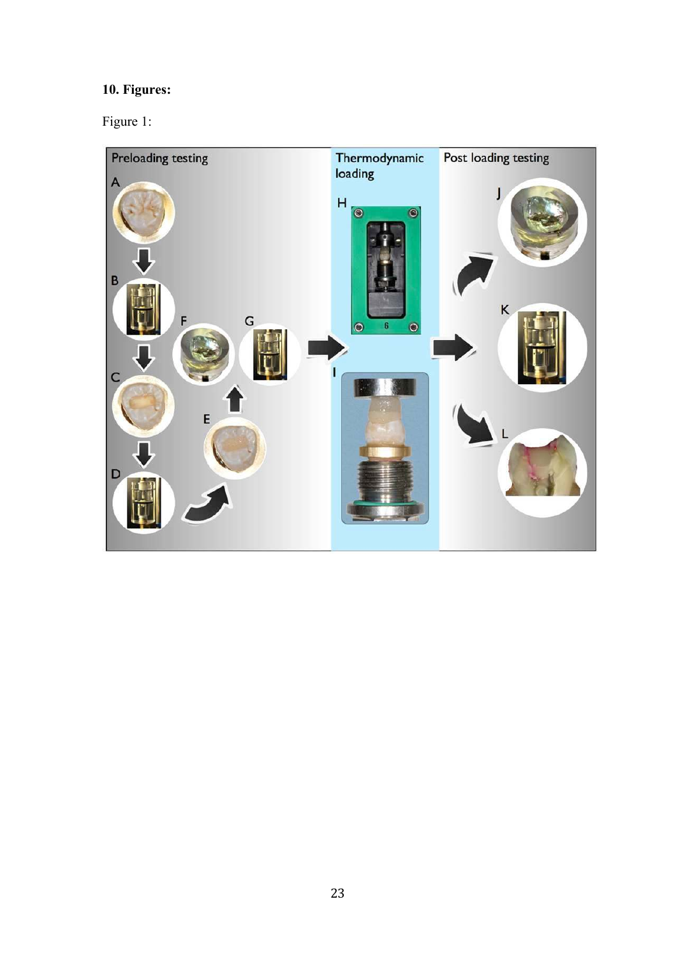# **10. Figures:**

Figure 1: